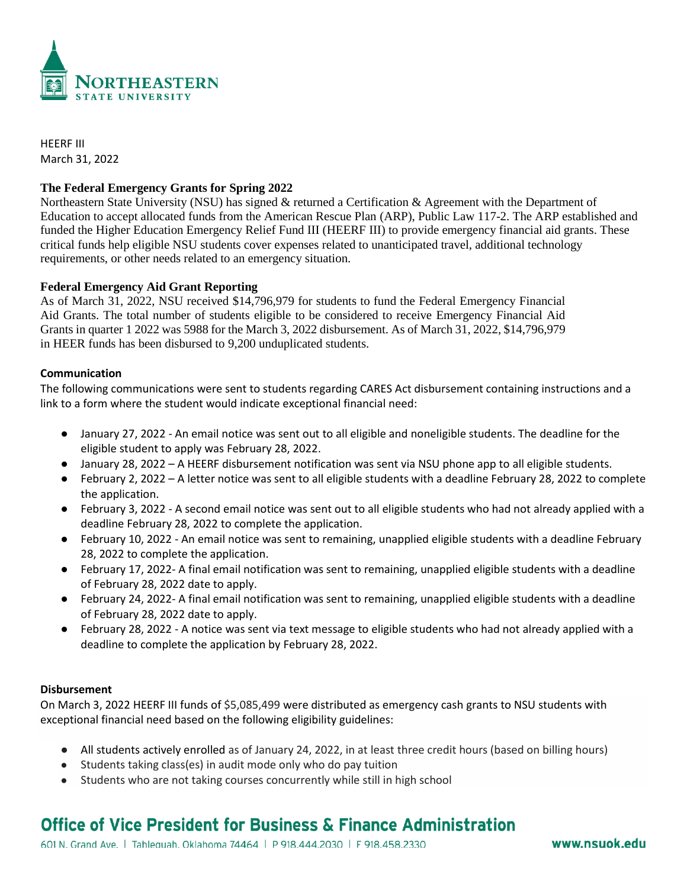

HEERF III March 31, 2022

## **The Federal Emergency Grants for Spring 2022**

Northeastern State University (NSU) has signed & returned a Certification & Agreement with the Department of Education to accept allocated funds from the American Rescue Plan (ARP), Public Law 117-2. The ARP established and funded the Higher Education Emergency Relief Fund III (HEERF III) to provide emergency financial aid grants. These critical funds help eligible NSU students cover expenses related to unanticipated travel, additional technology requirements, or other needs related to an emergency situation.

### **Federal Emergency Aid Grant Reporting**

As of March 31, 2022, NSU received \$14,796,979 for students to fund the Federal Emergency Financial Aid Grants. The total number of students eligible to be considered to receive Emergency Financial Aid Grants in quarter 1 2022 was 5988 for the March 3, 2022 disbursement. As of March 31, 2022, \$14,796,979 in HEER funds has been disbursed to 9,200 unduplicated students.

#### **Communication**

The following communications were sent to students regarding CARES Act disbursement containing instructions and a link to a form where the student would indicate exceptional financial need:

- January 27, 2022 An email notice was sent out to all eligible and noneligible students. The deadline for the eligible student to apply was February 28, 2022.
- January 28, 2022 A HEERF disbursement notification was sent via NSU phone app to all eligible students.
- February 2, 2022 A letter notice was sent to all eligible students with a deadline February 28, 2022 to complete the application.
- February 3, 2022 A second email notice was sent out to all eligible students who had not already applied with a deadline February 28, 2022 to complete the application.
- February 10, 2022 An email notice was sent to remaining, unapplied eligible students with a deadline February 28, 2022 to complete the application.
- February 17, 2022- A final email notification was sent to remaining, unapplied eligible students with a deadline of February 28, 2022 date to apply.
- February 24, 2022- A final email notification was sent to remaining, unapplied eligible students with a deadline of February 28, 2022 date to apply.
- February 28, 2022 A notice was sent via text message to eligible students who had not already applied with a deadline to complete the application by February 28, 2022.

#### **Disbursement**

On March 3, 2022 HEERF III funds of \$5,085,499 were distributed as emergency cash grants to NSU students with exceptional financial need based on the following eligibility guidelines:

- All students actively enrolled as of January 24, 2022, in at least three credit hours (based on billing hours)
- Students taking class(es) in audit mode only who do pay tuition
- Students who are not taking courses concurrently while still in high school

# Office of Vice President for Business & Finance Administration